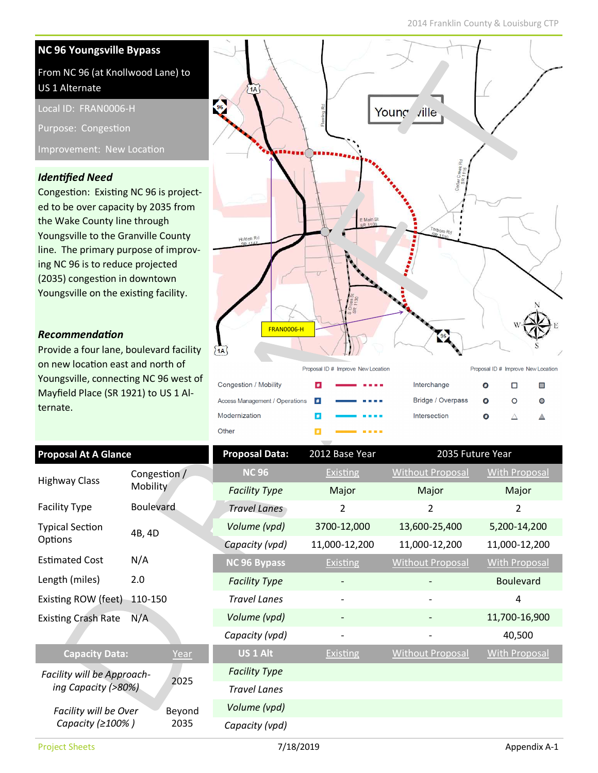#### NC 96 Youngsville Bypass From NC 96 (at Knollwood Lane) to US 1 Alternate  $1A$ Local ID: FRAN0006-H Young ville Purpose: Congestion Improvement: New Location **Identified Need** Congestion: Existing NC 96 is projected to be over capacity by 2035 from the Wake County line through Youngsville to the Granville County Holden Rd line. The primary purpose of improving NC 96 is to reduce projected (2035) congestion in downtown Youngsville on the existing facility. FRAN0006-H Recommendation Provide a four lane, boulevard facility  $\overline{1A}$ on new location east and north of Proposal ID # Improve New Location Proposal ID # Improve New Location Youngsville, connecting NC 96 west of Congestion / Mobility  $\pmb{\#}$ Interchange  $\bullet$  $\Box$  $\Box$  $\mathbf{m}$ Mayfield Place (SR 1921) to US 1 Al-

Access Management / Operations Bridge / Overpass  $\circ$  $#$  $\bullet$  $\bullet$ Modernization Intersection  $#$  $\bullet$  $\triangle$  $\triangle$ Other  $\pmb{\#}$ 

| <b>Proposal At A Glance</b>       |                                 | <b>Proposal Data:</b> | 2012 Base Year    | 2035 Future Year        |                      |
|-----------------------------------|---------------------------------|-----------------------|-------------------|-------------------------|----------------------|
| <b>Highway Class</b>              | Congestion /<br><b>Mobility</b> | <b>NC 96</b>          | <b>Existing</b>   | <b>Without Proposal</b> | <b>With Proposal</b> |
|                                   |                                 | <b>Facility Type</b>  | Major             | Major                   | Major                |
| <b>Facility Type</b>              | <b>Boulevard</b>                | <b>Travel Lanes</b>   | 2                 | 2                       | $\overline{2}$       |
| <b>Typical Section</b><br>Options | 4B, 4D                          | Volume (vpd)          | 3700-12,000       | 13,600-25,400           | 5,200-14,200         |
|                                   |                                 | Capacity (vpd)        | 11,000-12,200     | 11,000-12,200           | 11,000-12,200        |
| <b>Estimated Cost</b>             | N/A                             | NC 96 Bypass          | Existing          | <b>Without Proposal</b> | <b>With Proposal</b> |
| Length (miles)                    | 2.0                             | <b>Facility Type</b>  |                   |                         | <b>Boulevard</b>     |
| Existing ROW (feet)<br>110-150    |                                 | <b>Travel Lanes</b>   |                   |                         | 4                    |
| N/A<br><b>Existing Crash Rate</b> |                                 | Volume (vpd)          |                   |                         | 11,700-16,900        |
|                                   |                                 | Capacity (vpd)        | $\qquad \qquad -$ |                         | 40,500               |
| <b>Capacity Data:</b>             | Year                            | US <sub>1</sub> Alt   | Existing          | <b>Without Proposal</b> | <b>With Proposal</b> |
| Facility will be Approach-        | 2025                            | <b>Facility Type</b>  |                   |                         |                      |
| ing Capacity (>80%)               |                                 | <b>Travel Lanes</b>   |                   |                         |                      |
| Facility will be Over             | Beyond<br>2035                  | Volume (vpd)          |                   |                         |                      |
| Capacity (≥100%)                  |                                 | Capacity (vpd)        |                   |                         |                      |

ternate.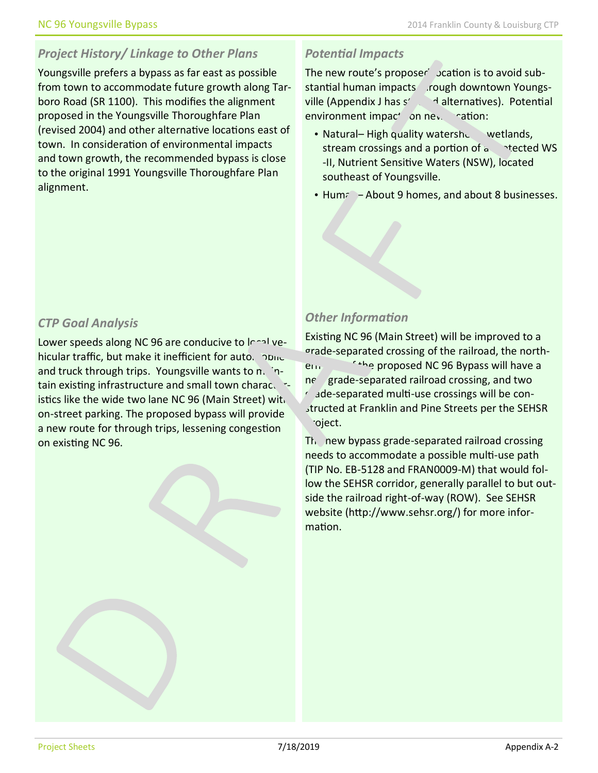# Project History/ Linkage to Other Plans

Youngsville prefers a bypass as far east as possible from town to accommodate future growth along Tarboro Road (SR 1100). This modifies the alignment proposed in the Youngsville Thoroughfare Plan (revised 2004) and other alternative locations east of town. In consideration of environmental impacts and town growth, the recommended bypass is close to the original 1991 Youngsville Thoroughfare Plan alignment.

### **Potential Impacts**

The new route's proposer' Jeation is to avoid substantial human impacts rough downtown Youngsville (Appendix J has  $s' = 1$  alternatives). Potential environment impact on new ration:

- Natural– High quality watershed wetlands, stream crossings and a portion of  $a$  +ected WS -II, Nutrient Sensitive Waters (NSW), located southeast of Youngsville.
- Humal– About 9 homes, and about 8 businesses.

### CTP Goal Analysis

Lower speeds along NC 96 are conducive to  $\mathsf{I}^{\mathsf{c}}$  and vehicular traffic, but make it inefficient for auto. none and truck through trips. Youngsville wants to  $n<sub>1</sub>$ tain existing infrastructure and small town characteristics like the wide two lane NC 96 (Main Street) with on-street parking. The proposed bypass will provide a new route for through trips, lessening congestion on existing NC 96.

## **Other Information**

Existing NC 96 (Main Street) will be improved to a grade-separated crossing of the railroad, the northern change proposed NC 96 Bypass will have a ne grade-separated railroad crossing, and two  $\epsilon$  ade-separated multi-use crossings will be constructed at Franklin and Pine Streets per the SEHSR oject.

 $Th$  new bypass grade-separated railroad crossing needs to accommodate a possible multi-use path (TIP No. EB-5128 and FRAN0009-M) that would follow the SEHSR corridor, generally parallel to but outside the railroad right-of-way (ROW). See SEHSR website (http://www.sehsr.org/) for more information.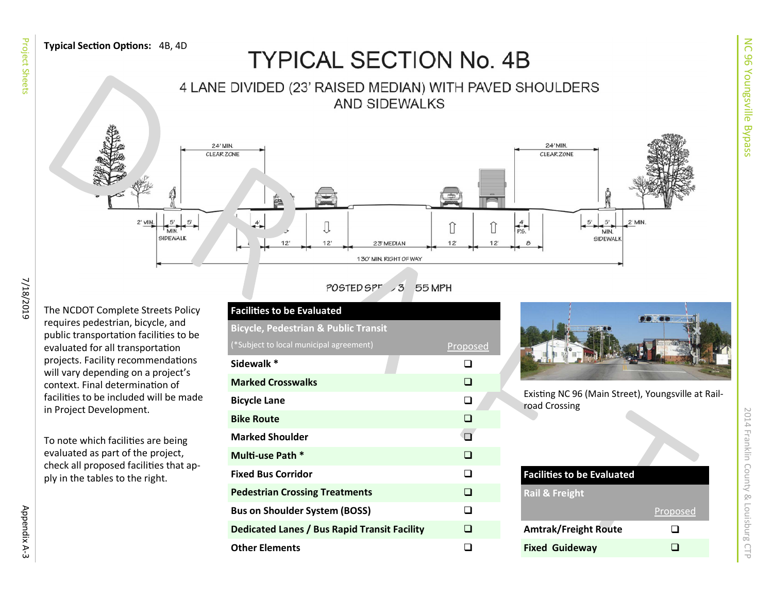

Project Sheets

| <b>Facilities to be Evaluated</b>                   |          |  |  |  |  |
|-----------------------------------------------------|----------|--|--|--|--|
| <b>Bicycle, Pedestrian &amp; Public Transit</b>     |          |  |  |  |  |
| (*Subject to local municipal agreement)             | Proposed |  |  |  |  |
| Sidewalk *                                          | n.       |  |  |  |  |
| <b>Marked Crosswalks</b>                            | ∣ 1      |  |  |  |  |
| <b>Bicycle Lane</b>                                 | ❏        |  |  |  |  |
| <b>Bike Route</b>                                   | $\Box$   |  |  |  |  |
| <b>Marked Shoulder</b>                              |          |  |  |  |  |
| Multi-use Path *                                    | ⊓        |  |  |  |  |
| <b>Fixed Bus Corridor</b>                           | ⊓        |  |  |  |  |
| <b>Pedestrian Crossing Treatments</b>               | □        |  |  |  |  |
| <b>Bus on Shoulder System (BOSS)</b>                | n        |  |  |  |  |
| <b>Dedicated Lanes / Bus Rapid Transit Facility</b> | □        |  |  |  |  |
| <b>Other Elements</b>                               |          |  |  |  |  |
|                                                     |          |  |  |  |  |



| <b>Facilities to be Evaluated</b> |          |  |  |  |
|-----------------------------------|----------|--|--|--|
| <b>Rail &amp; Freight</b>         |          |  |  |  |
|                                   | Proposed |  |  |  |
| <b>Amtrak/Freight Route</b>       |          |  |  |  |
| <b>Fixed Guideway</b>             |          |  |  |  |

2014 Franklin County & Louisburg CTP

2014 Franklin County & Louisburg CTP